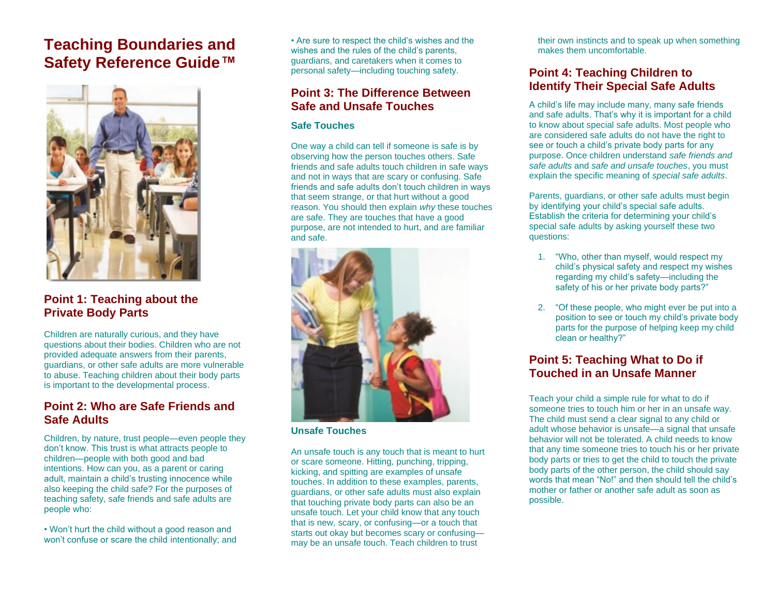## **Teaching Boundaries and Safety Reference Guide***™*



## **Point 1: Teaching about the Private Body Parts**

Children are naturally curious, and they have questions about their bodies. Children who are not provided adequate answers from their parents, guardians, or other safe adults are more vulnerable to abuse. Teaching children about their body parts is important to the developmental process.

## **Point 2: Who are Safe Friends and Safe Adults**

Children, by nature, trust people—even people they don't know. This trust is what attracts people to children—people with both good and bad intentions. How can you, as a parent or caring adult, maintain a child's trusting innocence while also keeping the child safe? For the purposes of teaching safety, safe friends and safe adults are people who:

• Won't hurt the child without a good reason and won't confuse or scare the child intentionally; and • Are sure to respect the child's wishes and the wishes and the rules of the child's parents, guardians, and caretakers when it comes to personal safety—including touching safety.

## **Point 3: The Difference Between Safe and Unsafe Touches**

#### **Safe Touches**

One way a child can tell if someone is safe is by observing how the person touches others. Safe friends and safe adults touch children in safe ways and not in ways that are scary or confusing. Safe friends and safe adults don't touch children in ways that seem strange, or that hurt without a good reason. You should then explain *why* these touches are safe. They are touches that have a good purpose, are not intended to hurt, and are familiar and safe.



#### **Unsafe Touches**

An unsafe touch is any touch that is meant to hurt or scare someone. Hitting, punching, tripping, kicking, and spitting are examples of unsafe touches. In addition to these examples, parents, guardians, or other safe adults must also explain that touching private body parts can also be an unsafe touch. Let your child know that any touch that is new, scary, or confusing—or a touch that starts out okay but becomes scary or confusing may be an unsafe touch. Teach children to trust

their own instincts and to speak up when something makes them uncomfortable.

## **Point 4: Teaching Children to Identify Their Special Safe Adults**

A child's life may include many, many safe friends and safe adults. That's why it is important for a child to know about special safe adults. Most people who are considered safe adults do not have the right to see or touch a child's private body parts for any purpose. Once children understand *safe friends and safe adults* and *safe and unsafe touches*, you must explain the specific meaning of *special safe adults*.

Parents, guardians, or other safe adults must begin by identifying your child's special safe adults. Establish the criteria for determining your child's special safe adults by asking yourself these two questions:

- 1. "Who, other than myself, would respect my child's physical safety and respect my wishes regarding my child's safety—including the safety of his or her private body parts?"
- 2. "Of these people, who might ever be put into a position to see or touch my child's private body parts for the purpose of helping keep my child clean or healthy?"

## **Point 5: Teaching What to Do if Touched in an Unsafe Manner**

Teach your child a simple rule for what to do if someone tries to touch him or her in an unsafe way. The child must send a clear signal to any child or adult whose behavior is unsafe—a signal that unsafe behavior will not be tolerated. A child needs to know that any time someone tries to touch his or her private body parts or tries to get the child to touch the private body parts of the other person, the child should say words that mean "No!" and then should tell the child's mother or father or another safe adult as soon as possible.